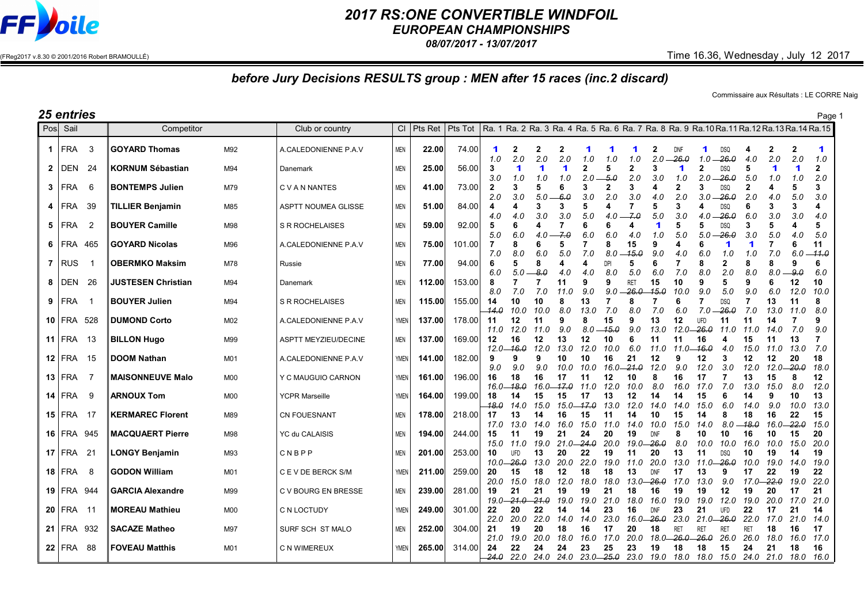

## *2017 RS:ONE CONVERTIBLE WINDFOIL*

*EUROPEAN CHAMPIONSHIPS*

*08/07/2017 - 13/07/2017*

 $(FReg2017 v.8.30 © 2001/2016 Robert BRAMOULLÉ)$  Time 16.36, Wednesday , July 12 2017

## *before Jury Decisions RESULTS group : MEN after 15 races (inc.2 discard)*

Commissaire aux Résultats : LE CORRE Naig

| 25 entries     |                   |      |                           |                |                             |             |         |         |                                                                                                 |                             |            |                     |               | Page                        |                     |                             |                              |                     |                                  |                            |                                                                                                         |                      |                 |
|----------------|-------------------|------|---------------------------|----------------|-----------------------------|-------------|---------|---------|-------------------------------------------------------------------------------------------------|-----------------------------|------------|---------------------|---------------|-----------------------------|---------------------|-----------------------------|------------------------------|---------------------|----------------------------------|----------------------------|---------------------------------------------------------------------------------------------------------|----------------------|-----------------|
|                | Posl Sail         |      | Competitor                |                | Club or country             | <b>CI</b>   | Pts Ret | Pts Tot | Ra. 1 Ra. 2 Ra. 3 Ra. 4 Ra. 5 Ra. 6 Ra. 7 Ra. 8 Ra. 9 Ra. 10 Ra. 11 Ra. 12 Ra. 13 Ra. 14 Ra. 15 |                             |            |                     |               |                             |                     |                             |                              |                     |                                  |                            |                                                                                                         |                      |                 |
| $\mathbf{1}$   | FRA               | -3   | <b>GOYARD Thomas</b>      | M92            | A.CALEDONIENNE P.A.V        | <b>MEN</b>  | 22.00   | 74.00   | -1<br>1.0                                                                                       | 2<br>2.0                    | 2<br>2.0   | 2.0                 | 1.0           | 1.0                         | 1<br>1.0            | 2<br>2.0                    | <b>DNF</b><br>26.0           | 1<br>1.0            | <b>DSQ</b><br>-26.0              | 4<br>4.0                   | $\mathbf{2}$<br>2.0                                                                                     | $\mathbf{2}$<br>2.0  | 1<br>1.0        |
| $\overline{2}$ | DEN               | 24   | <b>KORNUM Sébastian</b>   | M94            | Danemark                    | <b>MEN</b>  | 25.00   | 56.00   | 3                                                                                               |                             | 1          |                     |               | 5                           | $\overline{2}$      |                             |                              | $\mathbf{2}$        | <b>DSQ</b>                       | 5                          |                                                                                                         | $\blacktriangleleft$ | 2               |
|                | $3$   FRA         | 6    | <b>BONTEMPS Julien</b>    | M79            | <b>CVAN NANTES</b>          | <b>MEN</b>  | 41.00   | 73.00   | 3.0<br>$\overline{2}$<br>2.0                                                                    | 1.0<br>3.0                  | 1.0<br>5.0 | 1.0<br>6<br>6.0     | 2.0<br>3.0    | -5.0<br>2<br>2.0            | 2.0<br>3<br>3.0     | 3.0<br>4.0                  | 1.0<br>2<br>2.0              | 2.0<br>3<br>3.0     | $-26.0$<br><b>DSQ</b><br>$-26.0$ | 5.0<br>$\mathbf{2}$<br>2.0 | 1.0<br>4<br>4.0                                                                                         | 1.0<br>5.0           | 2.0<br>3<br>3.0 |
|                | 4   FRA           | 39   | <b>TILLIER Benjamin</b>   | M85            | ASPTT NOUMEA GLISSE         | <b>MEN</b>  | 51.00   | 84.00   | $\overline{\mathbf{4}}$<br>4.0                                                                  | 4<br>4.0                    | 3<br>3.0   | 3<br>3.0            | 5<br>5.0      | 4<br>4.0                    | 7<br>-7.0           | 5<br>5.0                    | 3<br>3.0                     | 4<br>4.0            | <b>DSQ</b><br>$-26.0$            | 6<br>6.0                   | 3<br>3.0                                                                                                | 3<br>3.0             | 4<br>4.0        |
|                | $5$   FRA         | 2    | <b>BOUYER Camille</b>     | M98            | <b>S R ROCHELAISES</b>      | <b>MEN</b>  | 59.00   | 92.00   | 5<br>5.0                                                                                        | 6<br>6.0                    | 4.0        | 7<br>7.0            | 6<br>6.0      | 6<br>6.0                    | 4<br>4.0            | $\blacktriangleleft$<br>1.0 | 5<br>5.0                     | 5<br>5.0            | <b>DSQ</b><br>26.0               | 3<br>3.0                   | 5<br>5.0                                                                                                | 4.0                  | 5<br>5.0        |
|                | 6 FRA             | 465  | <b>GOYARD Nicolas</b>     | M96            | A.CALEDONIENNE P.A.V        | <b>MEN</b>  | 75.00   | 101.00  | 7<br>7.0                                                                                        | 8<br>8.0                    | 6<br>6.0   | 5<br>5.0            | 7.0           | 8<br>8.0                    | 15<br>15.0          | 9<br>9.0                    | 4<br>4.0                     | 6<br>6.0            | 1<br>1.0                         | 1<br>1.0                   | 7<br>7.0                                                                                                | 6<br>6.0             | 11<br>11.0      |
|                | $7$ RUS           |      | <b>OBERMKO Maksim</b>     | M78            | Russie                      | <b>MEN</b>  | 77.00   | 94.00   | 6<br>6.0                                                                                        | 5.0                         | 8<br>-8.0  | 4<br>4.0            | 4.0           | DPI<br>8.0                  | 5<br>5.0            | 6.0                         | 7<br>7.0                     | 8<br>8.0            | 2<br>2.0                         | 8<br>8.0                   | 8<br>8.0                                                                                                | 9<br>9.0             | 6<br>6.0        |
| 8              | l DEN             | -26  | <b>JUSTESEN Christian</b> | M94            | Danemark                    | <b>MEN</b>  | 112.00  | 153.00  | 8<br>8.0                                                                                        | 7.0                         | 7.0        | 11<br>11.0          | 9<br>9.0      | 9<br>9.0                    | RET<br>-26.0        | 15<br>15.0                  | 10<br>10.0                   | 9<br>9.0            | 5<br>5.0                         | 9<br>9.0                   | 6<br>6.0                                                                                                | 12<br>12.0           | 10<br>10.0      |
|                | $9$ FRA           |      | <b>BOUYER Julien</b>      | M94            | <b>S R ROCHELAISES</b>      | <b>MEN</b>  | 115.00  | 155.00  | 14<br>-14.0                                                                                     | 10<br>10.0                  | 10<br>10.0 | 8<br>8.0            | 13<br>13.0    | 7<br>7.0                    | 8<br>8.0            | 7.0                         | 6<br>6.0                     | 7.0                 | <b>DSQ</b><br>$-26.0$            | 7<br>7.0                   | 13<br>13.0                                                                                              | 11<br>11.0           | 8<br>8.0        |
|                | $10$ FRA          | 528  | <b>DUMOND Corto</b>       | M02            | A.CALEDONIENNE P.A.V        | <b>YMEN</b> | 137.00  | 178.00  | 11<br>11.0                                                                                      | 12<br>12.0                  | 11<br>11.0 | 9<br>9.0            | 8.0           | 15<br>$-15.0$               | 9<br>9.0            | 13<br>13.0                  | 12<br>12.0                   | <b>UFD</b><br>-26.0 | 11<br>11.0                       | 11<br>11.0                 | 14<br>14.0                                                                                              | 7.0                  | 9<br>9.0        |
|                | 11 FRA            | - 13 | <b>BILLON Hugo</b>        | M99            | <b>ASPTT MEYZIEU/DECINE</b> | MEN         | 137.00  | 169.00  | 12                                                                                              | 16<br>12.0— <del>16.0</del> | 12<br>12.0 | 13<br>13.0          | 12<br>12.0    | 10<br>10.0                  | 6<br>6.0            | 11<br>11.0                  | 11<br>11.0— <del>16.0</del>  | 16                  | 4<br>4.0                         | 15<br>15.0                 | 11<br>11.0                                                                                              | 13<br>13.0           | 7.0             |
|                | $12$ FRA 15       |      | <b>DOOM Nathan</b>        | M01            | A.CALEDONIENNE P.A.V        | <b>YMEN</b> | 141.00  | 182.00  | 9<br>9.0                                                                                        | 9<br>9.0                    | 9<br>9.0   | 10<br>10.0          | 10<br>10.0    | 16<br>16.0 <del>.21.0</del> | 21                  | 12<br>12.0                  | 9<br>9.0                     | 12<br>12.0          | 3<br>3.0                         | 12<br>12.0                 | 12<br>$12.0 - 20.0$                                                                                     | 20                   | 18<br>18.0      |
|                | $13$ FRA          | - 7  | <b>MAISONNEUVE Malo</b>   | M00            | Y C MAUGUIO CARNON          | YMEN        | 161.00  | 196.00  | 16<br>16.0-                                                                                     | 18<br>$-18.0$               | 16         | 17<br>16.0 - 17.0   | 11<br>11.0    | 12<br>12.0                  | 10<br>10.0          | 8<br>8.0                    | 16<br>16.0                   | 17<br>17.0          | 7.0                              | 13<br>13.0                 | 15<br>15.0                                                                                              | 8<br>8.0             | 12<br>12.0      |
|                | 14 FRA            | - 9  | <b>ARNOUX Tom</b>         | M <sub>0</sub> | <b>YCPR Marseille</b>       | <b>YMEN</b> | 164.00  | 199.00  | 18<br>18.0                                                                                      | 14<br>14.0                  | 15<br>15.0 | 15<br>$15.0 - 17.0$ | 17            | 13<br>13.0                  | 12<br>12.0          | 14<br>14.0                  | 14<br>14.0                   | 15<br>15.0          | 6.0                              | 14<br>14.0                 | 9<br>9.0                                                                                                | 10<br>10.0           | 13<br>13.0      |
|                | $15$ FRA 17       |      | <b>KERMAREC Florent</b>   | M89            | <b>CN FOUESNANT</b>         | <b>MEN</b>  | 178.00  | 218.00  | 17<br>17.0                                                                                      | 13<br>13.0                  | 14<br>14.0 | 16<br>16.0          | 15<br>15.0    | 11.0                        | 14<br>14.0          | 10<br>10.0                  | 15<br>15.0                   | 14<br>14.0          | 8<br>8.0                         | 18<br>18.0                 | 16<br>16.0-                                                                                             | 22<br>-22.0          | 15<br>15.0      |
|                | <b>16 FRA 945</b> |      | <b>MACQUAERT Pierre</b>   | M98            | YC du CALAISIS              | <b>MEN</b>  | 194.00  | 244.00  | 15<br>15.0                                                                                      | 11.0                        | 19<br>19.0 | 21<br>$21.0 -$      | 24<br>$-24.0$ | 20<br>20.0                  | 19<br>19.0          | <b>DNF</b><br>-26.0         | 8<br>8.0                     | 10<br>10.0          | 10<br>10.0                       | 16<br>16.0                 | 10<br>10.0                                                                                              | 15<br>15.0           | 20<br>20.0      |
|                | 17 FRA 21         |      | LONGY Benjamin            | M93            | CNBPP                       | <b>MEN</b>  | 201.00  | 253.00  | 10<br>10.0                                                                                      | <b>UFD</b><br>$-26.0$       | 13<br>13.0 | 20<br>20.0          | 22<br>22.0    | 19<br>19.0                  | 11<br>11.0          | 20<br>20.0                  | 13<br>13.0                   | 11<br>11.0          | <b>DSQ</b><br>-26.0              | 10<br>10.0                 | 19<br>19.0                                                                                              | 14<br>14.0           | 19<br>19.0      |
|                | $18$ FRA          | -8   | <b>GODON William</b>      | M01            | C E V DE BERCK S/M          | <b>YMEN</b> | 211.00  | 259.00  | 20<br>20.0                                                                                      | 15<br>15.0                  | 18<br>18.0 | 12<br>12.0          | 18<br>18.0    | 18<br>18.0                  | 13<br>13.0—26.0     |                             | 17<br>17.0                   | 13<br>13.0          | 9.0                              | 17<br>17.0-22.0            | 22                                                                                                      | 19<br>19.0           | 22<br>22.0      |
|                | $19$ FRA 944      |      | <b>GARCIA Alexandre</b>   | M99            | C V BOURG EN BRESSE         | <b>MEN</b>  | 239.00  | 281.00  | 19<br>$19.0 -$                                                                                  | 21<br>$21.0 - 21.0$         | 21         | 19<br>19.0          | 19<br>19.0    | 21<br>21.0                  | 18<br>18.0          | 16<br>16.0                  | 19<br>19.0                   | 19<br>19.0          | 12<br>12.0                       | 19<br>19.0                 | 20<br>20.0                                                                                              | 17<br>17.0           | 21<br>21.0      |
|                | $20$ FRA          | - 11 | <b>MOREAU Mathieu</b>     | <b>M00</b>     | C N LOCTUDY                 | YMEN        | 249.00  | 301.00  | 22<br>22.0                                                                                      | 20<br>20.0                  | 22<br>22.0 | 14<br>14.0          | 14<br>14.0    | 23<br>23.0                  | 16<br>$16.0 - 26.0$ | <b>DNF</b>                  | 23<br>23.0                   | 21<br>$21.0 - 26.0$ | <b>UFD</b>                       | 22<br>22.0                 | 17<br>17.0                                                                                              | 21<br>21.0           | 14<br>14.0      |
|                | <b>21 FRA 932</b> |      | <b>SACAZE Matheo</b>      | M97            | SURF SCH ST MALO            | MEN         | 252.00  | 304.00  | 21<br>21.0                                                                                      | 19<br>19.0                  | 20<br>20.0 | 18<br>18.0          | 16<br>16.0    | 17<br>17.0                  | 20<br>20.0          | 18                          | <b>RET</b><br>18.0 26.0 26.0 | <b>RET</b>          | RET<br>26.0                      | <b>RET</b><br>26.0         | 18<br>18.0                                                                                              | 16<br>16.0           | 17<br>17.0      |
|                | $22$ FRA          | 88   | <b>FOVEAU Matthis</b>     | M01            | C N WIMEREUX                | <b>YMEN</b> | 265.00  | 314.00  | 24                                                                                              | 22                          | 24         | 24                  | 23            | 25                          | 23                  | 19                          | 18                           | 18                  | 15                               | 24                         | 21<br><del>24.0</del> 22.0 24.0 24.0 23.0 <del> 25.0</del> 23.0 19.0 18.0 18.0 15.0 24.0 21.0 18.0 16.0 | 18                   | 16              |